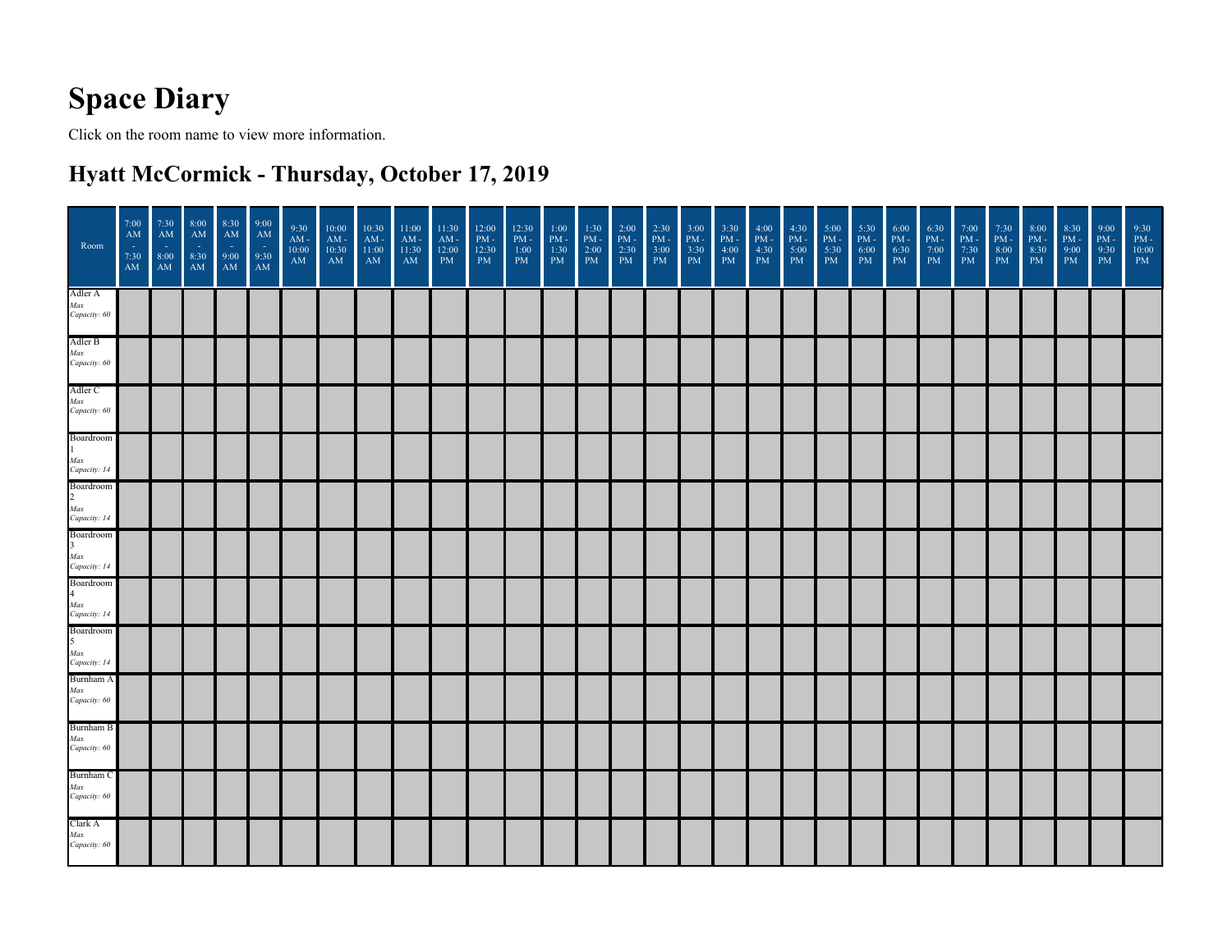## **Space Diary**

Click on the room name to view more information.

## **Hyatt McCormick - Thursday, October 17, 2019**

| Room                                                      | 7:00<br>AM<br>$\sim$<br>7:30<br>AM | 7:30<br>AM<br>$\sim$<br>8:00<br>AM | 8:00<br>AM<br>$\frac{1}{8:30}$<br>AM | 8:30<br>AM<br>9:00<br>AM | 9:00<br>AM<br>$\sim$<br>$9:30$<br>AM | 9:30<br>AM -<br>10:00<br>$\mathbf{A}\mathbf{M}$ | 10:00<br>$\mathbf{AM}$ -<br>10:30<br>$\mathbf{A}\mathbf{M}$ | 10:30<br>$AM -$<br>11:00<br>AM | 11:00<br>$\mathbf{A}\mathbf{M}$ -<br>11:30<br>$\mathbf{A}\mathbf{M}$ | 11:30<br>$AM -$<br>12:00<br>PM | 12:00<br>$\,$ PM $\,$ -<br>12:30<br>$\mathbf{P}\mathbf{M}$ | 12:30<br>$\mathrm{PM}$ -<br>1:00<br>$\mathbf{PM}$ | 1:00<br>$\,$ PM $\,$<br>1:30<br>$\mathbf{P}\mathbf{M}$ | 1:30<br>$\mathrm{PM}$ -<br>$\vert 2:00 \vert$<br>PM | 2:00<br>$\mathrm{PM}$ -<br>2:30<br>$\mathbf{P}\mathbf{M}$ | 2:30<br>$\,$ PM $\,$ -<br>3:00<br>$\mathbf{P}\mathbf{M}$ | 3:00<br>$\mathrm{PM}$ -<br>3:30<br>$\mathbf{P}\mathbf{M}$ | 3:30<br>$PM -$<br>4:00<br>$\mathbf{P}\mathbf{M}$ | 4:00<br>$PM -$<br>4:30<br>PM | 4:30<br>$\mathrm{PM}$ -<br>5:00<br>$\mathbf{P}\mathbf{M}$ | 5:00<br>$PM -$<br>5:30<br>$\mathbf{P}\mathbf{M}$ | 5:30<br>$PM -$<br>6:00<br>$\mathbf{P}\mathbf{M}$ | 6:00<br>$\,$ PM $\,$ -<br>6:30<br>$\mathbf{P}\mathbf{M}$ | 6:30<br>$\begin{array}{c} \text{PM} \\ \text{7:00} \\ \text{PM} \end{array}$ | 7:00<br>$PM -$<br>7:30<br>PM | 7:30<br>$\mathrm{PM}$ -<br>8:00<br>PM | 8:00<br>$\mathrm{PM}$ -<br>8:30<br>$\mathbf{P}\mathbf{M}$ | 8:30<br>$\,$ PM $\,$<br>9:00<br>$\mathbf{P}\mathbf{M}$ | 9:00<br>$\mathrm{PM}$ -<br>9:30<br>PM | 9:30<br>$PM -$<br>10:00<br>$\mathbf{P}\mathbf{M}$ |
|-----------------------------------------------------------|------------------------------------|------------------------------------|--------------------------------------|--------------------------|--------------------------------------|-------------------------------------------------|-------------------------------------------------------------|--------------------------------|----------------------------------------------------------------------|--------------------------------|------------------------------------------------------------|---------------------------------------------------|--------------------------------------------------------|-----------------------------------------------------|-----------------------------------------------------------|----------------------------------------------------------|-----------------------------------------------------------|--------------------------------------------------|------------------------------|-----------------------------------------------------------|--------------------------------------------------|--------------------------------------------------|----------------------------------------------------------|------------------------------------------------------------------------------|------------------------------|---------------------------------------|-----------------------------------------------------------|--------------------------------------------------------|---------------------------------------|---------------------------------------------------|
| Adler A<br>Max<br>Capacity: 60                            |                                    |                                    |                                      |                          |                                      |                                                 |                                                             |                                |                                                                      |                                |                                                            |                                                   |                                                        |                                                     |                                                           |                                                          |                                                           |                                                  |                              |                                                           |                                                  |                                                  |                                                          |                                                                              |                              |                                       |                                                           |                                                        |                                       |                                                   |
| Adler B<br>Max<br>Capacity: 60                            |                                    |                                    |                                      |                          |                                      |                                                 |                                                             |                                |                                                                      |                                |                                                            |                                                   |                                                        |                                                     |                                                           |                                                          |                                                           |                                                  |                              |                                                           |                                                  |                                                  |                                                          |                                                                              |                              |                                       |                                                           |                                                        |                                       |                                                   |
| Adler C<br>Max<br>Capacity: 60                            |                                    |                                    |                                      |                          |                                      |                                                 |                                                             |                                |                                                                      |                                |                                                            |                                                   |                                                        |                                                     |                                                           |                                                          |                                                           |                                                  |                              |                                                           |                                                  |                                                  |                                                          |                                                                              |                              |                                       |                                                           |                                                        |                                       |                                                   |
| Boardroom<br>$\mathbf{1}$<br>Max<br>Capacity: 14          |                                    |                                    |                                      |                          |                                      |                                                 |                                                             |                                |                                                                      |                                |                                                            |                                                   |                                                        |                                                     |                                                           |                                                          |                                                           |                                                  |                              |                                                           |                                                  |                                                  |                                                          |                                                                              |                              |                                       |                                                           |                                                        |                                       |                                                   |
| <b>Boardroom</b><br>$\overline{2}$<br>Max<br>Capacity: 14 |                                    |                                    |                                      |                          |                                      |                                                 |                                                             |                                |                                                                      |                                |                                                            |                                                   |                                                        |                                                     |                                                           |                                                          |                                                           |                                                  |                              |                                                           |                                                  |                                                  |                                                          |                                                                              |                              |                                       |                                                           |                                                        |                                       |                                                   |
| Boardroom<br>$\overline{3}$<br>Max<br>Capacity: 14        |                                    |                                    |                                      |                          |                                      |                                                 |                                                             |                                |                                                                      |                                |                                                            |                                                   |                                                        |                                                     |                                                           |                                                          |                                                           |                                                  |                              |                                                           |                                                  |                                                  |                                                          |                                                                              |                              |                                       |                                                           |                                                        |                                       |                                                   |
| Boardroom<br>$\overline{4}$<br>Max<br>Capacity: 14        |                                    |                                    |                                      |                          |                                      |                                                 |                                                             |                                |                                                                      |                                |                                                            |                                                   |                                                        |                                                     |                                                           |                                                          |                                                           |                                                  |                              |                                                           |                                                  |                                                  |                                                          |                                                                              |                              |                                       |                                                           |                                                        |                                       |                                                   |
| Boardroom<br>5<br>Max<br>Capacity: 14                     |                                    |                                    |                                      |                          |                                      |                                                 |                                                             |                                |                                                                      |                                |                                                            |                                                   |                                                        |                                                     |                                                           |                                                          |                                                           |                                                  |                              |                                                           |                                                  |                                                  |                                                          |                                                                              |                              |                                       |                                                           |                                                        |                                       |                                                   |
| Burnham A<br>Max<br>Capacity: 60                          |                                    |                                    |                                      |                          |                                      |                                                 |                                                             |                                |                                                                      |                                |                                                            |                                                   |                                                        |                                                     |                                                           |                                                          |                                                           |                                                  |                              |                                                           |                                                  |                                                  |                                                          |                                                                              |                              |                                       |                                                           |                                                        |                                       |                                                   |
| Burnham B<br>Max<br>Capacity: 60                          |                                    |                                    |                                      |                          |                                      |                                                 |                                                             |                                |                                                                      |                                |                                                            |                                                   |                                                        |                                                     |                                                           |                                                          |                                                           |                                                  |                              |                                                           |                                                  |                                                  |                                                          |                                                                              |                              |                                       |                                                           |                                                        |                                       |                                                   |
| Burnham C<br>Max<br>Capacity: 60                          |                                    |                                    |                                      |                          |                                      |                                                 |                                                             |                                |                                                                      |                                |                                                            |                                                   |                                                        |                                                     |                                                           |                                                          |                                                           |                                                  |                              |                                                           |                                                  |                                                  |                                                          |                                                                              |                              |                                       |                                                           |                                                        |                                       |                                                   |
| Clark A<br>Max<br>Capacity: 60                            |                                    |                                    |                                      |                          |                                      |                                                 |                                                             |                                |                                                                      |                                |                                                            |                                                   |                                                        |                                                     |                                                           |                                                          |                                                           |                                                  |                              |                                                           |                                                  |                                                  |                                                          |                                                                              |                              |                                       |                                                           |                                                        |                                       |                                                   |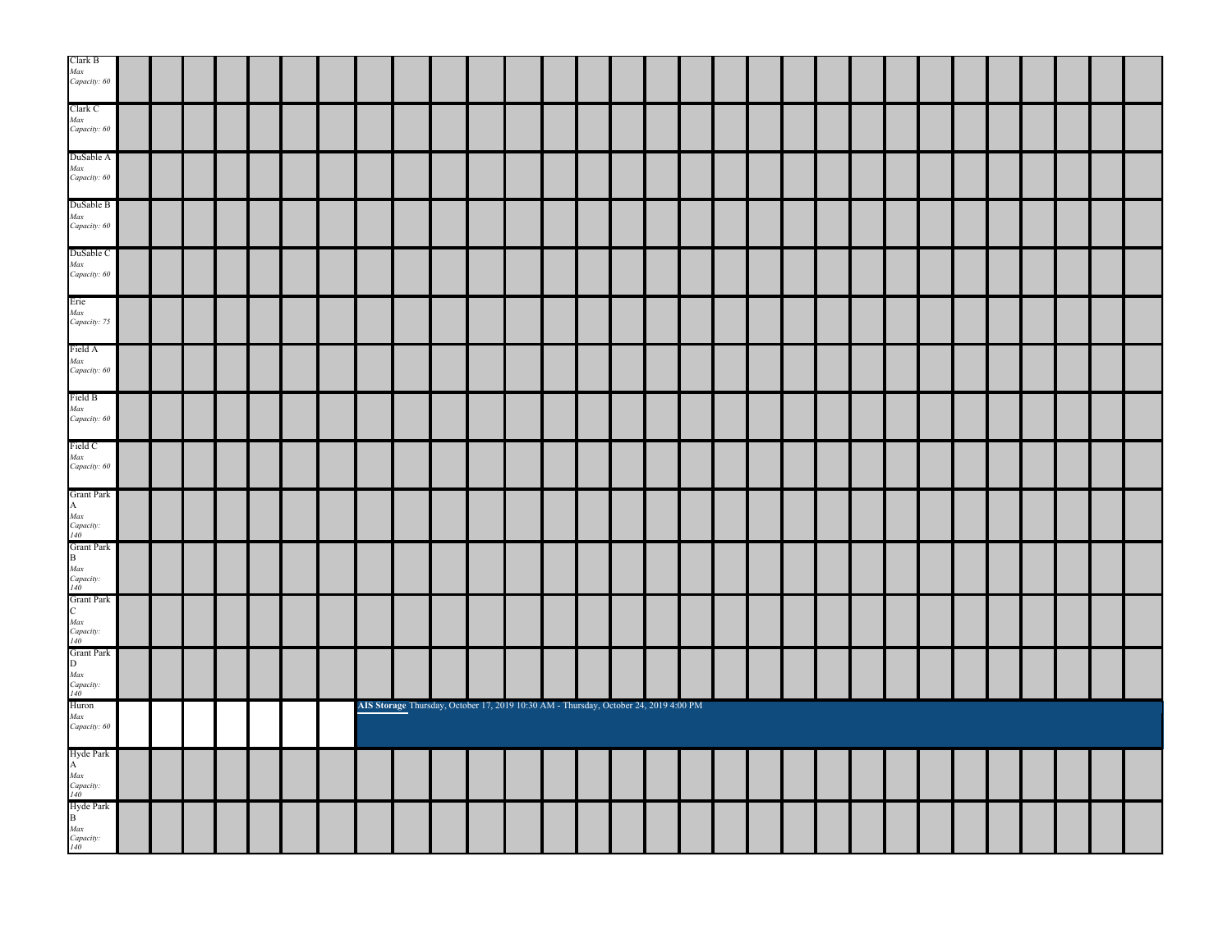| Clark B                                                                                                                            |  |  |  |  |                                                                                      |  |  |  |  |  |  |  |  |  |  |
|------------------------------------------------------------------------------------------------------------------------------------|--|--|--|--|--------------------------------------------------------------------------------------|--|--|--|--|--|--|--|--|--|--|
| Max<br>Capacity: 60                                                                                                                |  |  |  |  |                                                                                      |  |  |  |  |  |  |  |  |  |  |
| Clark C                                                                                                                            |  |  |  |  |                                                                                      |  |  |  |  |  |  |  |  |  |  |
| Max<br>Capacity: 60                                                                                                                |  |  |  |  |                                                                                      |  |  |  |  |  |  |  |  |  |  |
| DuSable A                                                                                                                          |  |  |  |  |                                                                                      |  |  |  |  |  |  |  |  |  |  |
| Max<br>Capacity: 60                                                                                                                |  |  |  |  |                                                                                      |  |  |  |  |  |  |  |  |  |  |
| DuSable B                                                                                                                          |  |  |  |  |                                                                                      |  |  |  |  |  |  |  |  |  |  |
| Max<br>Capacity: 60                                                                                                                |  |  |  |  |                                                                                      |  |  |  |  |  |  |  |  |  |  |
| DuSable C                                                                                                                          |  |  |  |  |                                                                                      |  |  |  |  |  |  |  |  |  |  |
| Max<br>Capacity: 60                                                                                                                |  |  |  |  |                                                                                      |  |  |  |  |  |  |  |  |  |  |
| Erie<br>Max                                                                                                                        |  |  |  |  |                                                                                      |  |  |  |  |  |  |  |  |  |  |
| Capacity: 75                                                                                                                       |  |  |  |  |                                                                                      |  |  |  |  |  |  |  |  |  |  |
| Field A                                                                                                                            |  |  |  |  |                                                                                      |  |  |  |  |  |  |  |  |  |  |
| Max<br>Capacity: 60                                                                                                                |  |  |  |  |                                                                                      |  |  |  |  |  |  |  |  |  |  |
| Field B                                                                                                                            |  |  |  |  |                                                                                      |  |  |  |  |  |  |  |  |  |  |
| Max<br>Capacity: 60                                                                                                                |  |  |  |  |                                                                                      |  |  |  |  |  |  |  |  |  |  |
| Field C                                                                                                                            |  |  |  |  |                                                                                      |  |  |  |  |  |  |  |  |  |  |
| Max<br>Capacity: 60                                                                                                                |  |  |  |  |                                                                                      |  |  |  |  |  |  |  |  |  |  |
| <b>Grant Park</b>                                                                                                                  |  |  |  |  |                                                                                      |  |  |  |  |  |  |  |  |  |  |
| A<br><i>Max</i><br><i>Capacity:</i><br><i>140</i><br>Grant Park<br>B                                                               |  |  |  |  |                                                                                      |  |  |  |  |  |  |  |  |  |  |
|                                                                                                                                    |  |  |  |  |                                                                                      |  |  |  |  |  |  |  |  |  |  |
|                                                                                                                                    |  |  |  |  |                                                                                      |  |  |  |  |  |  |  |  |  |  |
|                                                                                                                                    |  |  |  |  |                                                                                      |  |  |  |  |  |  |  |  |  |  |
|                                                                                                                                    |  |  |  |  |                                                                                      |  |  |  |  |  |  |  |  |  |  |
|                                                                                                                                    |  |  |  |  |                                                                                      |  |  |  |  |  |  |  |  |  |  |
|                                                                                                                                    |  |  |  |  |                                                                                      |  |  |  |  |  |  |  |  |  |  |
|                                                                                                                                    |  |  |  |  |                                                                                      |  |  |  |  |  |  |  |  |  |  |
|                                                                                                                                    |  |  |  |  |                                                                                      |  |  |  |  |  |  |  |  |  |  |
| Max<br>Capacity:<br>140<br>Crant Park<br>C<br>Max<br>2000<br>Capacity:<br>2000<br>Capacity:<br>Capacity:<br>2000<br>Huron<br>Huron |  |  |  |  |                                                                                      |  |  |  |  |  |  |  |  |  |  |
|                                                                                                                                    |  |  |  |  | AIS Storage Thursday, October 17, 2019 10:30 AM - Thursday, October 24, 2019 4:00 PM |  |  |  |  |  |  |  |  |  |  |
| Max<br>Capacity: 60                                                                                                                |  |  |  |  |                                                                                      |  |  |  |  |  |  |  |  |  |  |
|                                                                                                                                    |  |  |  |  |                                                                                      |  |  |  |  |  |  |  |  |  |  |
|                                                                                                                                    |  |  |  |  |                                                                                      |  |  |  |  |  |  |  |  |  |  |
|                                                                                                                                    |  |  |  |  |                                                                                      |  |  |  |  |  |  |  |  |  |  |
| Hyde Park<br>A<br><i>Max<br/>Capacity:</i><br><i>H0</i><br>Hyde Park<br>B<br><i>Max</i><br><i>Capacity:</i><br><i>H0</i>           |  |  |  |  |                                                                                      |  |  |  |  |  |  |  |  |  |  |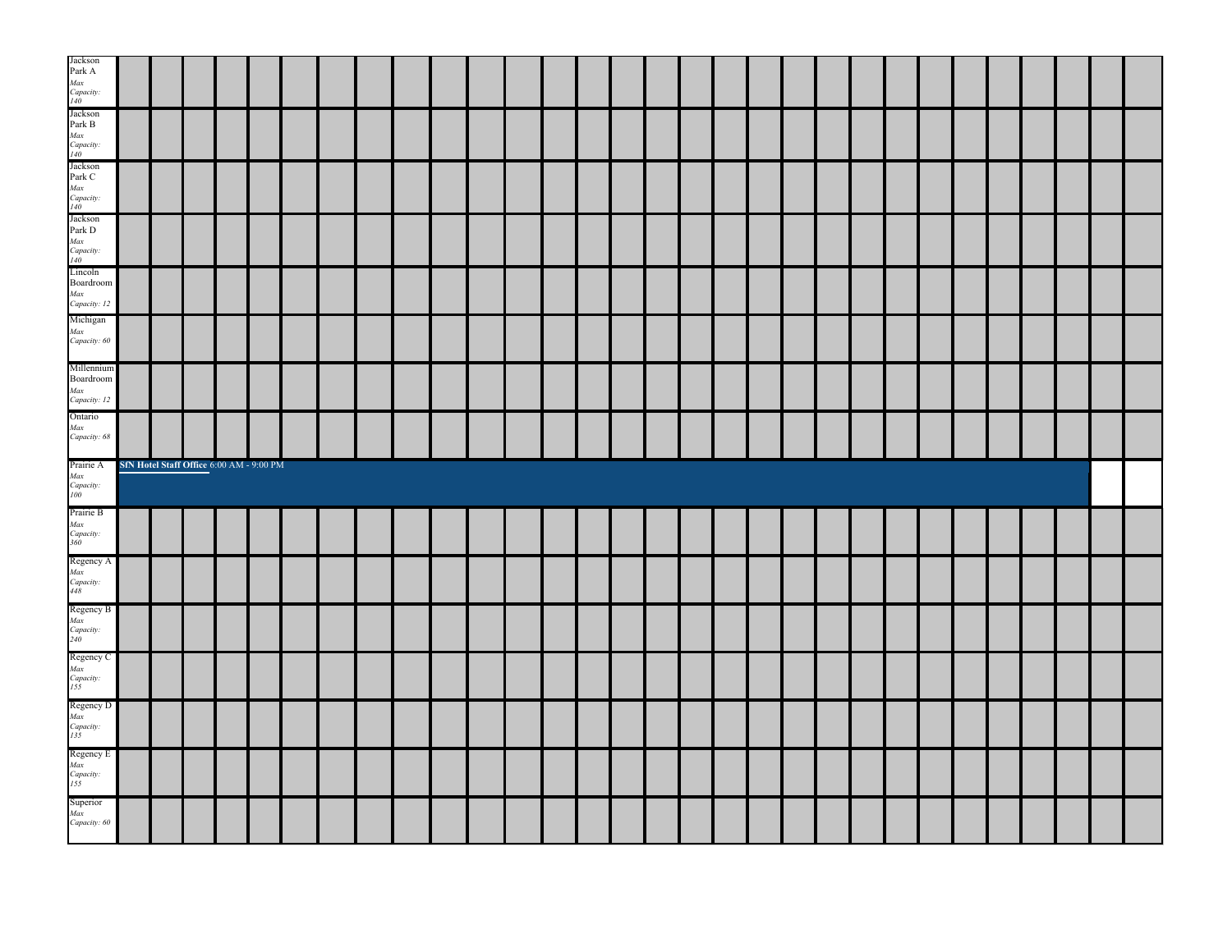| Boardroom<br>Max<br>Capacity: 12<br>Michigan                                                                                                                                              |                                          |  |  |  |  |  |  |  |  |  |  |  |  |  |  |  |
|-------------------------------------------------------------------------------------------------------------------------------------------------------------------------------------------|------------------------------------------|--|--|--|--|--|--|--|--|--|--|--|--|--|--|--|
| Max<br>Capacity: 60                                                                                                                                                                       |                                          |  |  |  |  |  |  |  |  |  |  |  |  |  |  |  |
| Millennium<br>$\textbf{Boardroom}$<br>Max<br>Capacity: 12<br>Ontario                                                                                                                      |                                          |  |  |  |  |  |  |  |  |  |  |  |  |  |  |  |
| Max<br>Capacity: 68                                                                                                                                                                       |                                          |  |  |  |  |  |  |  |  |  |  |  |  |  |  |  |
|                                                                                                                                                                                           |                                          |  |  |  |  |  |  |  |  |  |  |  |  |  |  |  |
| Prairie A                                                                                                                                                                                 | SfN Hotel Staff Office 6:00 AM - 9:00 PM |  |  |  |  |  |  |  |  |  |  |  |  |  |  |  |
|                                                                                                                                                                                           |                                          |  |  |  |  |  |  |  |  |  |  |  |  |  |  |  |
|                                                                                                                                                                                           |                                          |  |  |  |  |  |  |  |  |  |  |  |  |  |  |  |
|                                                                                                                                                                                           |                                          |  |  |  |  |  |  |  |  |  |  |  |  |  |  |  |
| <i>Max</i><br><i>Capacity:</i><br>100<br>Prairie B<br>Max<br>Capacity:<br>360<br>Regency A<br>Max<br>Capacity:<br>448<br>Regency B<br><i>Max</i><br><i>Capacity</i> :<br>240<br>Regency C |                                          |  |  |  |  |  |  |  |  |  |  |  |  |  |  |  |
|                                                                                                                                                                                           |                                          |  |  |  |  |  |  |  |  |  |  |  |  |  |  |  |
| Regency C<br>Max<br>Capacity:<br>155<br>Regency D<br>Max<br>Capacity:<br>135<br>Regency E<br><i>Max</i><br><i>Capacity:</i><br>155<br>Superior<br>Max<br>Capacity: 60                     |                                          |  |  |  |  |  |  |  |  |  |  |  |  |  |  |  |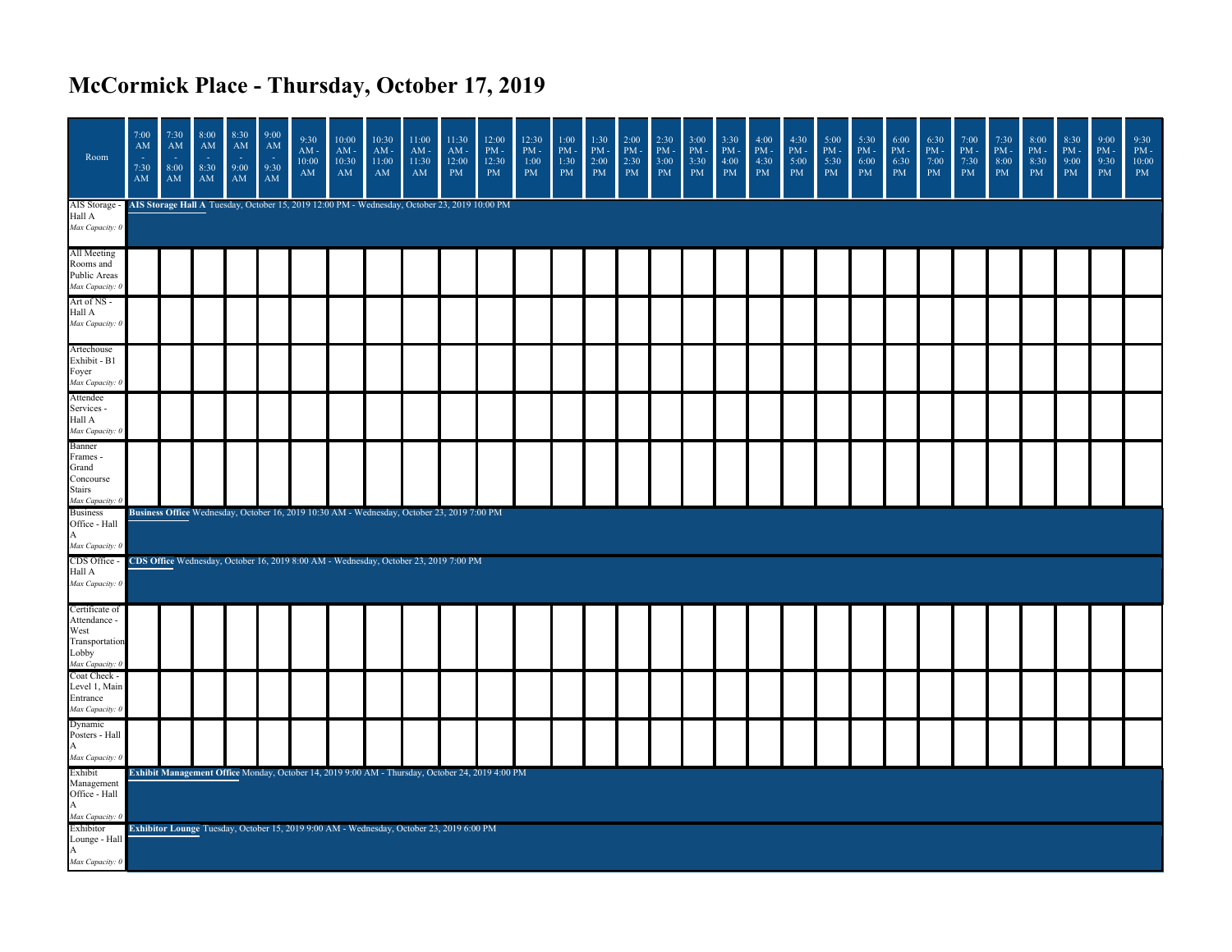## **McCormick Place - Thursday, October 17, 2019**

| Room                                                                                 | 7:00<br>AM<br>÷,<br>7:30<br>$\mathbf{A}\mathbf{M}$ | 7:30<br>AM<br>$\sim$<br>8:00<br>$\mathbf{A}\mathbf{M}$ | 8:00<br>AM<br>- 1<br>8:30<br>$\mathbf{A}\mathbf{M}$ | 8:30<br>AM<br>÷.<br>9:00<br>${\bf AM}$ | 9:00<br>AM<br>- 14<br>9:30<br>$\mathbf{A}\mathbf{M}$ | 9:30<br>$AM -$<br>10:00<br>$\mathbf{A}\mathbf{M}$                                            | 10:00<br>$AM -$<br>10:30<br>AM | 10:30<br>$AM -$<br>11:00<br>$\mathbf{A}\mathbf{M}$ | 11:00<br>$AM -$<br>11:30<br>$\mathbf{A}\mathbf{M}$ | 11:30<br>$AM -$<br>12:00<br>PM | 12:00<br>$\mathrm{PM}$ -<br>12:30<br>PM                                                         | 12:30<br>$\mathrm{PM}$ -<br>1:00<br>PM | 1:00<br>$PM -$<br>1:30<br>PM | 1:30<br>$PM -$<br>2:00<br>$\mathrm{PM}{}$ | 2:00<br>$PM -$<br>2:30<br>PM | 2:30<br>$PM -$<br>3:00<br>$\mathbf{PM}$ | 3:00<br>$PM -$<br>3:30<br>$\mathbf{PM}$ | 3:30<br>PM<br>4:00<br>$\mathbf{PM}$ | 4:00<br>PM-<br>4:30<br>$\mathbf{PM}$ | 4:30<br>$\mathrm{PM}$ -<br>5:00<br>$\mathrm{PM}{}$ | 5:00<br>$PM -$<br>5:30<br>$\mathbf{PM}$ | 5:30<br>$PM -$<br>6:00<br>$\mathbf{PM}$ | 6:00<br>$\mathrm{PM}$ -<br>6:30<br>$\rm PM$ | 6:30<br>$PM -$<br>7:00<br>$\mathbf{PM}$ | 7:00<br>$PM -$<br>7:30<br>$\mathbf{PM}$ | 7:30<br>$PM -$<br>8:00<br>$\rm PM$ | 8:00<br>$PM -$<br>8:30<br>$\mathbf{PM}$ | 8:30<br>$PM -$<br>9:00<br>$\mathbf{PM}$ | 9:00<br>$PM -$<br>9:30<br>PM | 9:30<br>$\mathrm{PM}$ -<br>10:00<br>PM |
|--------------------------------------------------------------------------------------|----------------------------------------------------|--------------------------------------------------------|-----------------------------------------------------|----------------------------------------|------------------------------------------------------|----------------------------------------------------------------------------------------------|--------------------------------|----------------------------------------------------|----------------------------------------------------|--------------------------------|-------------------------------------------------------------------------------------------------|----------------------------------------|------------------------------|-------------------------------------------|------------------------------|-----------------------------------------|-----------------------------------------|-------------------------------------|--------------------------------------|----------------------------------------------------|-----------------------------------------|-----------------------------------------|---------------------------------------------|-----------------------------------------|-----------------------------------------|------------------------------------|-----------------------------------------|-----------------------------------------|------------------------------|----------------------------------------|
| AIS Storage<br>Hall A<br>Max Capacity: 0                                             |                                                    |                                                        |                                                     |                                        |                                                      | AIS Storage Hall A Tuesday, October 15, 2019 12:00 PM - Wednesday, October 23, 2019 10:00 PM |                                |                                                    |                                                    |                                |                                                                                                 |                                        |                              |                                           |                              |                                         |                                         |                                     |                                      |                                                    |                                         |                                         |                                             |                                         |                                         |                                    |                                         |                                         |                              |                                        |
| All Meeting<br>Rooms and<br>Public Areas<br>Max Capacity: 0                          |                                                    |                                                        |                                                     |                                        |                                                      |                                                                                              |                                |                                                    |                                                    |                                |                                                                                                 |                                        |                              |                                           |                              |                                         |                                         |                                     |                                      |                                                    |                                         |                                         |                                             |                                         |                                         |                                    |                                         |                                         |                              |                                        |
| Art of NS -<br>Hall A<br>Max Capacity: 0                                             |                                                    |                                                        |                                                     |                                        |                                                      |                                                                                              |                                |                                                    |                                                    |                                |                                                                                                 |                                        |                              |                                           |                              |                                         |                                         |                                     |                                      |                                                    |                                         |                                         |                                             |                                         |                                         |                                    |                                         |                                         |                              |                                        |
| Artechouse<br>Exhibit - B1<br>Foyer<br>Max Capacity: (                               |                                                    |                                                        |                                                     |                                        |                                                      |                                                                                              |                                |                                                    |                                                    |                                |                                                                                                 |                                        |                              |                                           |                              |                                         |                                         |                                     |                                      |                                                    |                                         |                                         |                                             |                                         |                                         |                                    |                                         |                                         |                              |                                        |
| Attendee<br>Services -<br>Hall A<br>Max Capacity: (                                  |                                                    |                                                        |                                                     |                                        |                                                      |                                                                                              |                                |                                                    |                                                    |                                |                                                                                                 |                                        |                              |                                           |                              |                                         |                                         |                                     |                                      |                                                    |                                         |                                         |                                             |                                         |                                         |                                    |                                         |                                         |                              |                                        |
| Banner<br>Frames -<br>Grand<br>Concourse<br><b>Stairs</b><br>Max Capacity            |                                                    |                                                        |                                                     |                                        |                                                      |                                                                                              |                                |                                                    |                                                    |                                |                                                                                                 |                                        |                              |                                           |                              |                                         |                                         |                                     |                                      |                                                    |                                         |                                         |                                             |                                         |                                         |                                    |                                         |                                         |                              |                                        |
| <b>Business</b><br>Office - Hall<br>A<br>Max Capacity: 0                             |                                                    |                                                        |                                                     |                                        |                                                      | Business Office Wednesday, October 16, 2019 10:30 AM - Wednesday, October 23, 2019 7:00 PM   |                                |                                                    |                                                    |                                |                                                                                                 |                                        |                              |                                           |                              |                                         |                                         |                                     |                                      |                                                    |                                         |                                         |                                             |                                         |                                         |                                    |                                         |                                         |                              |                                        |
| CDS Office -<br>Hall A<br>Max Capacity: 0                                            |                                                    |                                                        |                                                     |                                        |                                                      | CDS Office Wednesday, October 16, 2019 8:00 AM - Wednesday, October 23, 2019 7:00 PM         |                                |                                                    |                                                    |                                |                                                                                                 |                                        |                              |                                           |                              |                                         |                                         |                                     |                                      |                                                    |                                         |                                         |                                             |                                         |                                         |                                    |                                         |                                         |                              |                                        |
| Certificate of<br>Attendance -<br>West<br>Transportation<br>Lobby<br>Max Capacity: 0 |                                                    |                                                        |                                                     |                                        |                                                      |                                                                                              |                                |                                                    |                                                    |                                |                                                                                                 |                                        |                              |                                           |                              |                                         |                                         |                                     |                                      |                                                    |                                         |                                         |                                             |                                         |                                         |                                    |                                         |                                         |                              |                                        |
| Coat Check -<br>Level 1, Main<br>Entrance<br>Max Capacity: 0                         |                                                    |                                                        |                                                     |                                        |                                                      |                                                                                              |                                |                                                    |                                                    |                                |                                                                                                 |                                        |                              |                                           |                              |                                         |                                         |                                     |                                      |                                                    |                                         |                                         |                                             |                                         |                                         |                                    |                                         |                                         |                              |                                        |
| Dynamic<br>Posters - Hall<br>A<br>Max Capacity: 0                                    |                                                    |                                                        |                                                     |                                        |                                                      |                                                                                              |                                |                                                    |                                                    |                                |                                                                                                 |                                        |                              |                                           |                              |                                         |                                         |                                     |                                      |                                                    |                                         |                                         |                                             |                                         |                                         |                                    |                                         |                                         |                              |                                        |
| Exhibit<br>Management<br>Office - Hall<br>A<br>Max Capacity: 0                       |                                                    |                                                        |                                                     |                                        |                                                      |                                                                                              |                                |                                                    |                                                    |                                | Exhibit Management Office Monday, October 14, 2019 9:00 AM - Thursday, October 24, 2019 4:00 PM |                                        |                              |                                           |                              |                                         |                                         |                                     |                                      |                                                    |                                         |                                         |                                             |                                         |                                         |                                    |                                         |                                         |                              |                                        |
| Exhibitor<br>Lounge - Hall<br>А<br>Max Capacity: 0                                   |                                                    |                                                        |                                                     |                                        |                                                      | Exhibitor Lounge Tuesday, October 15, 2019 9:00 AM - Wednesday, October 23, 2019 6:00 PM     |                                |                                                    |                                                    |                                |                                                                                                 |                                        |                              |                                           |                              |                                         |                                         |                                     |                                      |                                                    |                                         |                                         |                                             |                                         |                                         |                                    |                                         |                                         |                              |                                        |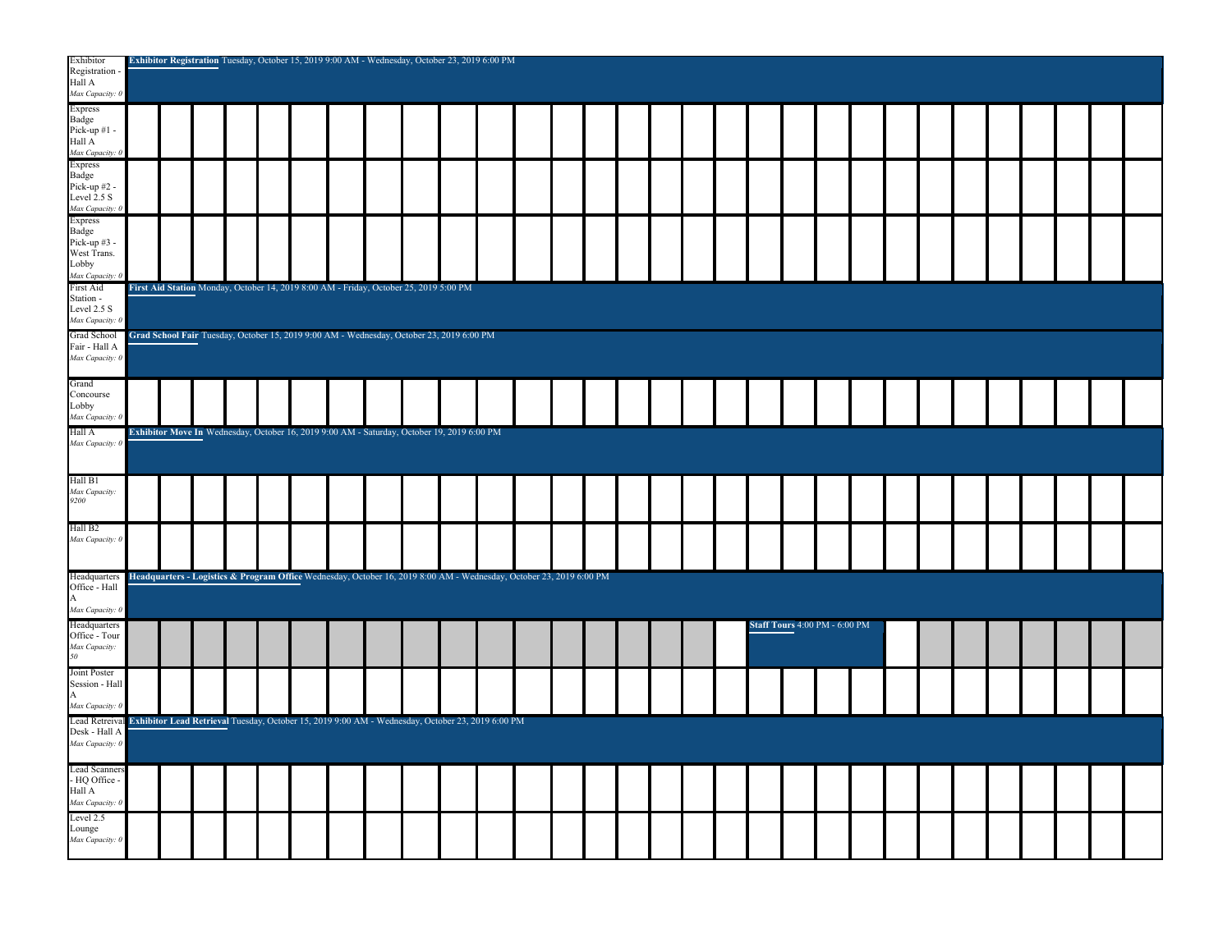| Exhibitor<br>Registration<br>Hall A<br>Max Capacity:                      |  |  | Exhibitor Registration Tuesday, October 15, 2019 9:00 AM - Wednesday, October 23, 2019 6:00 PM                      |  |  |  |  |  |  |                                      |  |  |  |  |  |
|---------------------------------------------------------------------------|--|--|---------------------------------------------------------------------------------------------------------------------|--|--|--|--|--|--|--------------------------------------|--|--|--|--|--|
| <b>Express</b><br>Badge<br>Pick-up #1 -<br>Hall A<br>Max Capacity: 0      |  |  |                                                                                                                     |  |  |  |  |  |  |                                      |  |  |  |  |  |
| <b>Express</b><br>Badge<br>Pick-up #2<br>Level 2.5 S<br>Max Capacity:     |  |  |                                                                                                                     |  |  |  |  |  |  |                                      |  |  |  |  |  |
| <b>Express</b><br><b>Badge</b><br>Pick-up #3<br>West Trans.<br>Lobby      |  |  |                                                                                                                     |  |  |  |  |  |  |                                      |  |  |  |  |  |
| Max Capacity:<br>First Aid<br>Station -<br>Level 2.5 S<br>Max Capacity: ( |  |  | First Aid Station Monday, October 14, 2019 8:00 AM - Friday, October 25, 2019 5:00 PM                               |  |  |  |  |  |  |                                      |  |  |  |  |  |
| Grad School<br>Fair - Hall A<br>Max Capacity: 0                           |  |  | Grad School Fair Tuesday, October 15, 2019 9:00 AM - Wednesday, October 23, 2019 6:00 PM                            |  |  |  |  |  |  |                                      |  |  |  |  |  |
| Grand<br>Concourse<br>Lobby<br>Max Capacity:                              |  |  |                                                                                                                     |  |  |  |  |  |  |                                      |  |  |  |  |  |
| Hall A<br>Max Capacity: (                                                 |  |  | Exhibitor Move In Wednesday, October 16, 2019 9:00 AM - Saturday, October 19, 2019 6:00 PM                          |  |  |  |  |  |  |                                      |  |  |  |  |  |
| Hall B1<br>Max Capacity.<br>9200                                          |  |  |                                                                                                                     |  |  |  |  |  |  |                                      |  |  |  |  |  |
| Hall B <sub>2</sub><br>Max Capacity: 0                                    |  |  |                                                                                                                     |  |  |  |  |  |  |                                      |  |  |  |  |  |
| Headquarters<br>Office - Hall<br>A<br>Max Capacity: 0                     |  |  | Headquarters - Logistics & Program Office Wednesday, October 16, 2019 8:00 AM - Wednesday, October 23, 2019 6:00 PM |  |  |  |  |  |  |                                      |  |  |  |  |  |
| Headquarters<br>Office - Tour<br>Max Capacity:<br>50                      |  |  |                                                                                                                     |  |  |  |  |  |  | <b>Staff Tours 4:00 PM - 6:00 PM</b> |  |  |  |  |  |
| Joint Poster<br>Session - Hall<br>A<br>Max Capacity: 0                    |  |  |                                                                                                                     |  |  |  |  |  |  |                                      |  |  |  |  |  |
| Lead Retreival<br>Desk - Hall A<br>Max Capacity: 0                        |  |  | Exhibitor Lead Retrieval Tuesday, October 15, 2019 9:00 AM - Wednesday, October 23, 2019 6:00 PM                    |  |  |  |  |  |  |                                      |  |  |  |  |  |
| <b>Lead Scanners</b><br>- HQ Office<br>Hall A<br>Max Capacity: 0          |  |  |                                                                                                                     |  |  |  |  |  |  |                                      |  |  |  |  |  |
| Level 2.5<br>Lounge<br>Max Capacity: 0                                    |  |  |                                                                                                                     |  |  |  |  |  |  |                                      |  |  |  |  |  |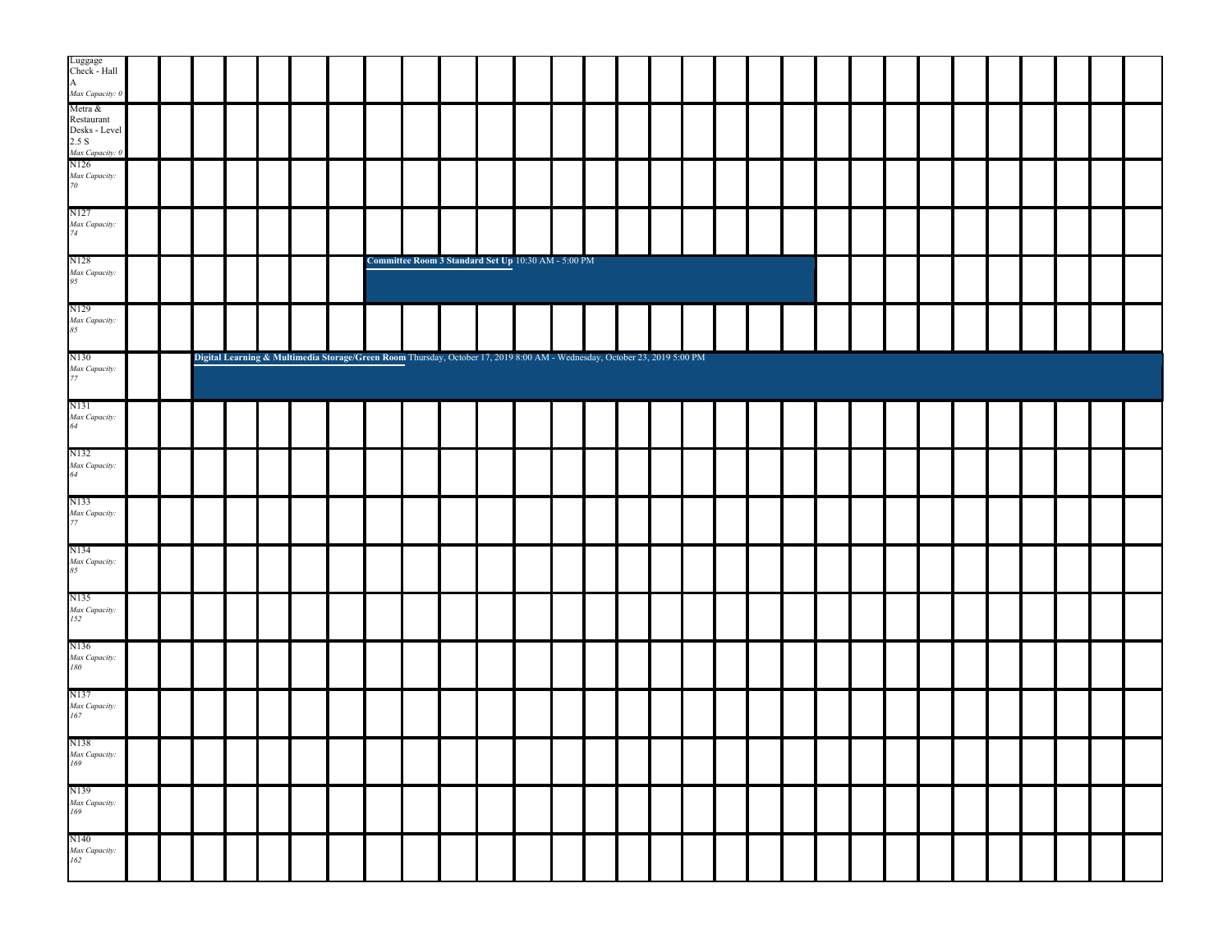| Luggage<br>Check - Hall                                                                                                                     |  |  |                                                                                                                           |  |                                                     |  |  |  |  |  |  |  |  |  |  |  |
|---------------------------------------------------------------------------------------------------------------------------------------------|--|--|---------------------------------------------------------------------------------------------------------------------------|--|-----------------------------------------------------|--|--|--|--|--|--|--|--|--|--|--|
| Anax Capacity: 0<br>Anax Capacity: 0<br>Metra &<br>Restaurant<br>Desks - Level<br>2.5 S<br>Max Capacity: 0<br>N126<br>Max Capacity: 0<br>70 |  |  |                                                                                                                           |  |                                                     |  |  |  |  |  |  |  |  |  |  |  |
|                                                                                                                                             |  |  |                                                                                                                           |  |                                                     |  |  |  |  |  |  |  |  |  |  |  |
| N127<br>Max Capacity:<br>74                                                                                                                 |  |  |                                                                                                                           |  |                                                     |  |  |  |  |  |  |  |  |  |  |  |
| N128<br>Max Capacity:<br>95                                                                                                                 |  |  |                                                                                                                           |  | Committee Room 3 Standard Set Up 10:30 AM - 5:00 PM |  |  |  |  |  |  |  |  |  |  |  |
| N129<br>Max Capacity:<br>85                                                                                                                 |  |  |                                                                                                                           |  |                                                     |  |  |  |  |  |  |  |  |  |  |  |
| N130<br>Max Capacity:<br>77                                                                                                                 |  |  | Digital Learning & Multimedia Storage/Green Room Thursday, October 17, 2019 8:00 AM - Wednesday, October 23, 2019 5:00 PM |  |                                                     |  |  |  |  |  |  |  |  |  |  |  |
| N131<br>Max Capacity:<br>64                                                                                                                 |  |  |                                                                                                                           |  |                                                     |  |  |  |  |  |  |  |  |  |  |  |
| N132<br>Max Capacity:<br>64                                                                                                                 |  |  |                                                                                                                           |  |                                                     |  |  |  |  |  |  |  |  |  |  |  |
| N133<br>Max Capacity:<br>77                                                                                                                 |  |  |                                                                                                                           |  |                                                     |  |  |  |  |  |  |  |  |  |  |  |
| N134<br>Max Capacity:<br>85                                                                                                                 |  |  |                                                                                                                           |  |                                                     |  |  |  |  |  |  |  |  |  |  |  |
| N135<br>Max Capacity:<br>152                                                                                                                |  |  |                                                                                                                           |  |                                                     |  |  |  |  |  |  |  |  |  |  |  |
| N136<br>Max Capacity:<br>180                                                                                                                |  |  |                                                                                                                           |  |                                                     |  |  |  |  |  |  |  |  |  |  |  |
| N137<br>Max Capacity:<br>167                                                                                                                |  |  |                                                                                                                           |  |                                                     |  |  |  |  |  |  |  |  |  |  |  |
| N138<br>Max Capacity:<br>169                                                                                                                |  |  |                                                                                                                           |  |                                                     |  |  |  |  |  |  |  |  |  |  |  |
| N139<br>Max Capacity:<br>169                                                                                                                |  |  |                                                                                                                           |  |                                                     |  |  |  |  |  |  |  |  |  |  |  |
| N140<br>Max Capacity:<br>162                                                                                                                |  |  |                                                                                                                           |  |                                                     |  |  |  |  |  |  |  |  |  |  |  |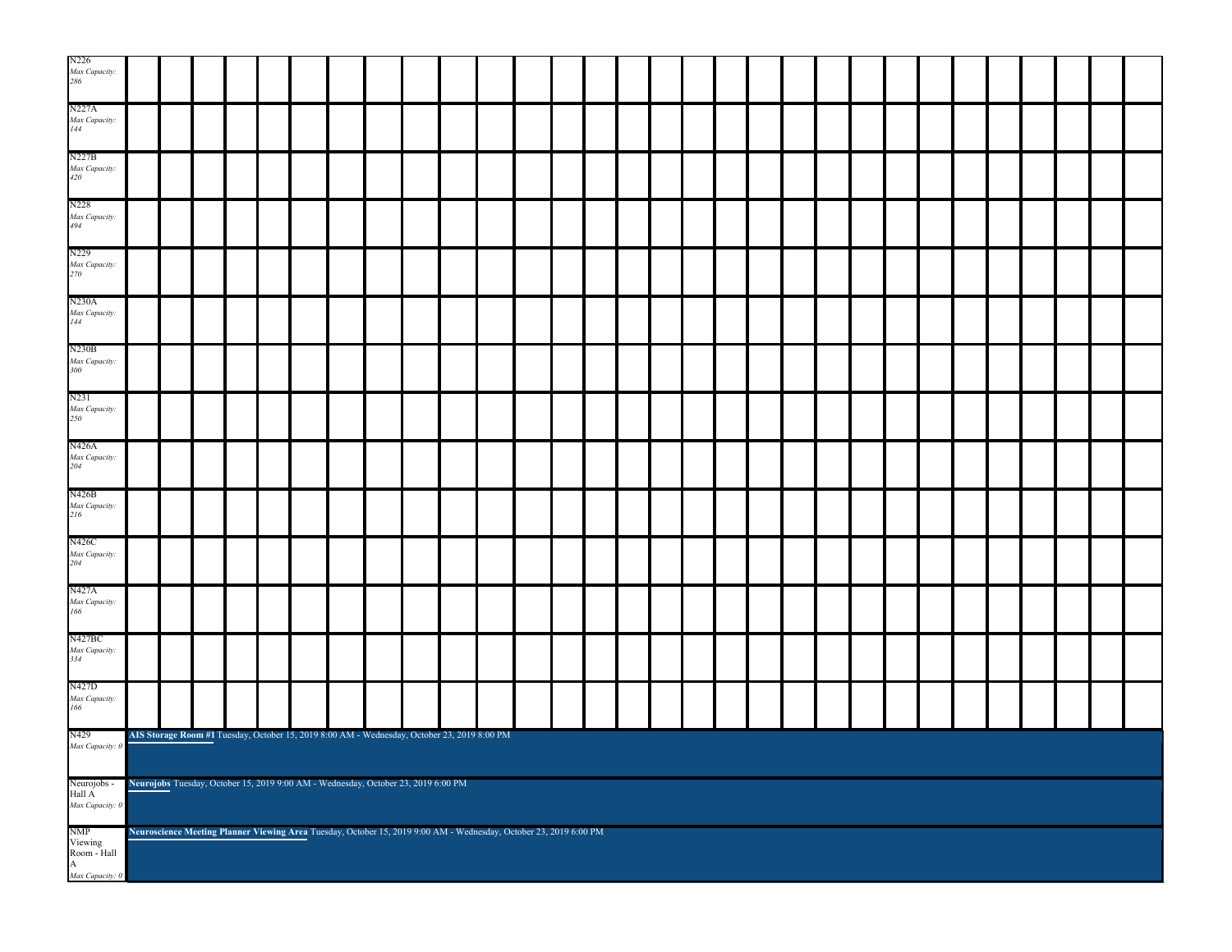| N226<br>Max Capacity:<br>286                                |  |  |  |  |  |                                                                                                                   |  |  |  |  |  |  |  |  |  |  |  |  |  |  |  |  |  |
|-------------------------------------------------------------|--|--|--|--|--|-------------------------------------------------------------------------------------------------------------------|--|--|--|--|--|--|--|--|--|--|--|--|--|--|--|--|--|
| N227A<br>Max Capacity:<br>144                               |  |  |  |  |  |                                                                                                                   |  |  |  |  |  |  |  |  |  |  |  |  |  |  |  |  |  |
| N227B<br>Max Capacity:<br>420                               |  |  |  |  |  |                                                                                                                   |  |  |  |  |  |  |  |  |  |  |  |  |  |  |  |  |  |
| N228<br>Max Capacity:<br>494                                |  |  |  |  |  |                                                                                                                   |  |  |  |  |  |  |  |  |  |  |  |  |  |  |  |  |  |
| N229<br>Max Capacity:<br>270                                |  |  |  |  |  |                                                                                                                   |  |  |  |  |  |  |  |  |  |  |  |  |  |  |  |  |  |
| N230A<br>Max Capacity:<br>144                               |  |  |  |  |  |                                                                                                                   |  |  |  |  |  |  |  |  |  |  |  |  |  |  |  |  |  |
| N230B<br>Max Capacity:<br>300                               |  |  |  |  |  |                                                                                                                   |  |  |  |  |  |  |  |  |  |  |  |  |  |  |  |  |  |
| N231<br>Max Capacity:<br>250                                |  |  |  |  |  |                                                                                                                   |  |  |  |  |  |  |  |  |  |  |  |  |  |  |  |  |  |
| N426A<br>Max Capacity:<br>204                               |  |  |  |  |  |                                                                                                                   |  |  |  |  |  |  |  |  |  |  |  |  |  |  |  |  |  |
| N426B<br>Max Capacity:<br>216                               |  |  |  |  |  |                                                                                                                   |  |  |  |  |  |  |  |  |  |  |  |  |  |  |  |  |  |
| N426C<br>Max Capacity:<br>204                               |  |  |  |  |  |                                                                                                                   |  |  |  |  |  |  |  |  |  |  |  |  |  |  |  |  |  |
| N427A<br>Max Capacity:<br>166                               |  |  |  |  |  |                                                                                                                   |  |  |  |  |  |  |  |  |  |  |  |  |  |  |  |  |  |
| N427BC<br>Max Capacity:<br>334                              |  |  |  |  |  |                                                                                                                   |  |  |  |  |  |  |  |  |  |  |  |  |  |  |  |  |  |
| N427D<br>Max Capacity:<br>166                               |  |  |  |  |  |                                                                                                                   |  |  |  |  |  |  |  |  |  |  |  |  |  |  |  |  |  |
| N429<br>Max Capacity: $0$                                   |  |  |  |  |  | AIS Storage Room #1 Tuesday, October 15, 2019 8:00 AM - Wednesday, October 23, 2019 8:00 PM                       |  |  |  |  |  |  |  |  |  |  |  |  |  |  |  |  |  |
| Neurojobs -<br>Hall $\overrightarrow{A}$<br>Max Capacity: 0 |  |  |  |  |  | Neurojobs Tuesday, October 15, 2019 9:00 AM - Wednesday, October 23, 2019 6:00 PM                                 |  |  |  |  |  |  |  |  |  |  |  |  |  |  |  |  |  |
| NMP<br>Viewing<br>Room - Hall<br>$\mathbf{A}$               |  |  |  |  |  | Neuroscience Meeting Planner Viewing Area Tuesday, October 15, 2019 9:00 AM - Wednesday, October 23, 2019 6:00 PM |  |  |  |  |  |  |  |  |  |  |  |  |  |  |  |  |  |
| Max Capacity: 0                                             |  |  |  |  |  |                                                                                                                   |  |  |  |  |  |  |  |  |  |  |  |  |  |  |  |  |  |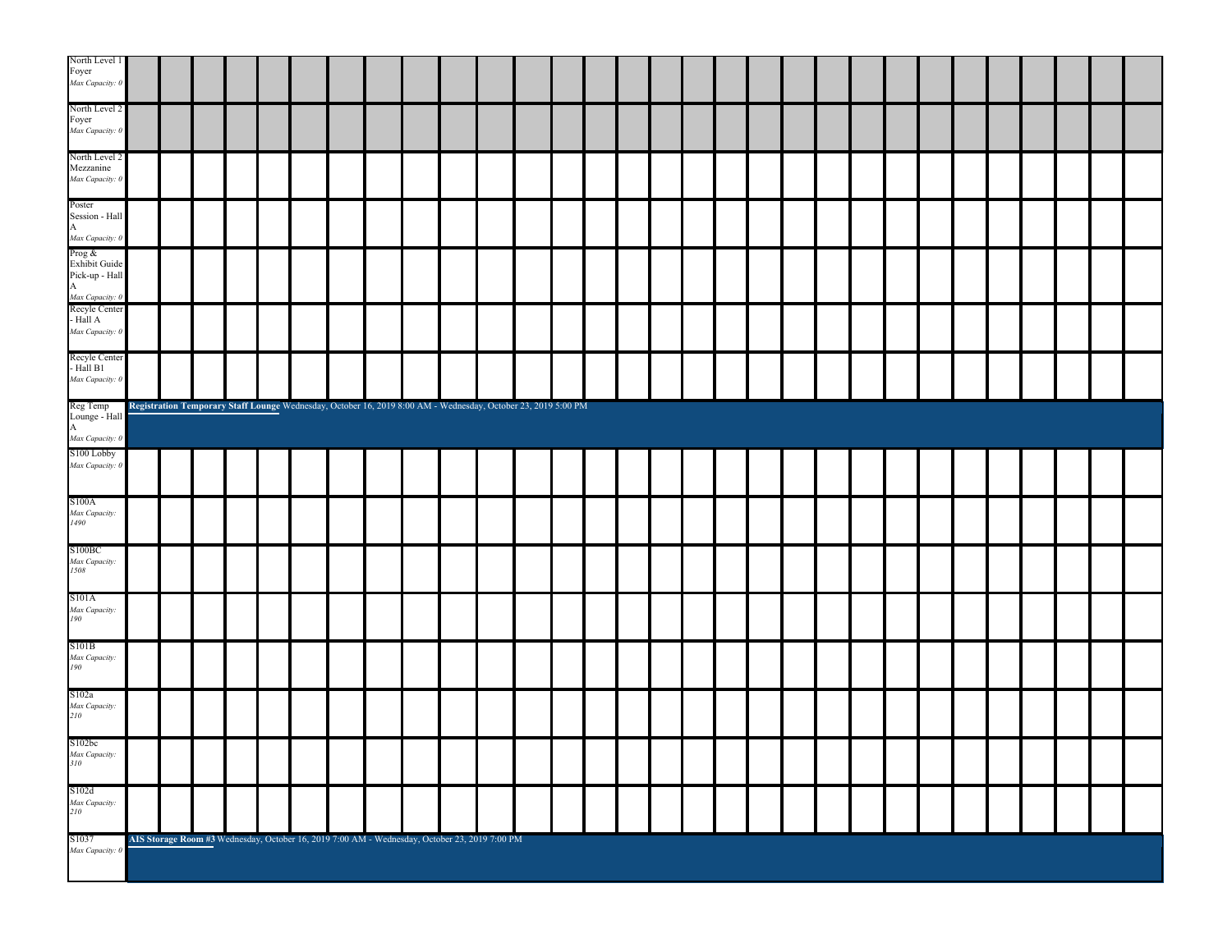| Foyer<br>Max Capacity: 0                                                                                                                            |  |  |  |  |                                                                                                               |  |  |  |  |  |  |  |  |  |  |  |
|-----------------------------------------------------------------------------------------------------------------------------------------------------|--|--|--|--|---------------------------------------------------------------------------------------------------------------|--|--|--|--|--|--|--|--|--|--|--|
|                                                                                                                                                     |  |  |  |  |                                                                                                               |  |  |  |  |  |  |  |  |  |  |  |
| North Level 2                                                                                                                                       |  |  |  |  |                                                                                                               |  |  |  |  |  |  |  |  |  |  |  |
| Foyer<br>Max Capacity: 0                                                                                                                            |  |  |  |  |                                                                                                               |  |  |  |  |  |  |  |  |  |  |  |
|                                                                                                                                                     |  |  |  |  |                                                                                                               |  |  |  |  |  |  |  |  |  |  |  |
| North Level 2<br>Mezzanine                                                                                                                          |  |  |  |  |                                                                                                               |  |  |  |  |  |  |  |  |  |  |  |
| Max Capacity: 0                                                                                                                                     |  |  |  |  |                                                                                                               |  |  |  |  |  |  |  |  |  |  |  |
|                                                                                                                                                     |  |  |  |  |                                                                                                               |  |  |  |  |  |  |  |  |  |  |  |
| Poster                                                                                                                                              |  |  |  |  |                                                                                                               |  |  |  |  |  |  |  |  |  |  |  |
|                                                                                                                                                     |  |  |  |  |                                                                                                               |  |  |  |  |  |  |  |  |  |  |  |
| Poster<br>Session - Hall<br>A <i>hax Capacity</i> : 0<br>Prog &<br>Exhibit Guide<br>Pick-up - Hall<br>A<br>Recyle Center<br>Recyle Center<br>Hall A |  |  |  |  |                                                                                                               |  |  |  |  |  |  |  |  |  |  |  |
|                                                                                                                                                     |  |  |  |  |                                                                                                               |  |  |  |  |  |  |  |  |  |  |  |
|                                                                                                                                                     |  |  |  |  |                                                                                                               |  |  |  |  |  |  |  |  |  |  |  |
|                                                                                                                                                     |  |  |  |  |                                                                                                               |  |  |  |  |  |  |  |  |  |  |  |
| - Hall ${\bf A}$                                                                                                                                    |  |  |  |  |                                                                                                               |  |  |  |  |  |  |  |  |  |  |  |
| Max Capacity: 0                                                                                                                                     |  |  |  |  |                                                                                                               |  |  |  |  |  |  |  |  |  |  |  |
| Recyle Center                                                                                                                                       |  |  |  |  |                                                                                                               |  |  |  |  |  |  |  |  |  |  |  |
| - Hall B1                                                                                                                                           |  |  |  |  |                                                                                                               |  |  |  |  |  |  |  |  |  |  |  |
| Max Capacity: 0                                                                                                                                     |  |  |  |  |                                                                                                               |  |  |  |  |  |  |  |  |  |  |  |
| Reg Temp                                                                                                                                            |  |  |  |  | Registration Temporary Staff Lounge Wednesday, October 16, 2019 8:00 AM - Wednesday, October 23, 2019 5:00 PM |  |  |  |  |  |  |  |  |  |  |  |
| Lounge - Hall<br>A<br><i>Max Capacity: 0</i><br>S100 Lobby                                                                                          |  |  |  |  |                                                                                                               |  |  |  |  |  |  |  |  |  |  |  |
|                                                                                                                                                     |  |  |  |  |                                                                                                               |  |  |  |  |  |  |  |  |  |  |  |
| Max Capacity: 0                                                                                                                                     |  |  |  |  |                                                                                                               |  |  |  |  |  |  |  |  |  |  |  |
|                                                                                                                                                     |  |  |  |  |                                                                                                               |  |  |  |  |  |  |  |  |  |  |  |
|                                                                                                                                                     |  |  |  |  |                                                                                                               |  |  |  |  |  |  |  |  |  |  |  |
|                                                                                                                                                     |  |  |  |  |                                                                                                               |  |  |  |  |  |  |  |  |  |  |  |
| S100A                                                                                                                                               |  |  |  |  |                                                                                                               |  |  |  |  |  |  |  |  |  |  |  |
| Max Capacity:<br>1490                                                                                                                               |  |  |  |  |                                                                                                               |  |  |  |  |  |  |  |  |  |  |  |
| S100BC                                                                                                                                              |  |  |  |  |                                                                                                               |  |  |  |  |  |  |  |  |  |  |  |
|                                                                                                                                                     |  |  |  |  |                                                                                                               |  |  |  |  |  |  |  |  |  |  |  |
| Max Capacity:<br>1508                                                                                                                               |  |  |  |  |                                                                                                               |  |  |  |  |  |  |  |  |  |  |  |
|                                                                                                                                                     |  |  |  |  |                                                                                                               |  |  |  |  |  |  |  |  |  |  |  |
| S101A<br>Max Capacity:<br>190                                                                                                                       |  |  |  |  |                                                                                                               |  |  |  |  |  |  |  |  |  |  |  |
|                                                                                                                                                     |  |  |  |  |                                                                                                               |  |  |  |  |  |  |  |  |  |  |  |
| S101B                                                                                                                                               |  |  |  |  |                                                                                                               |  |  |  |  |  |  |  |  |  |  |  |
| Max Capacity:<br>190                                                                                                                                |  |  |  |  |                                                                                                               |  |  |  |  |  |  |  |  |  |  |  |
|                                                                                                                                                     |  |  |  |  |                                                                                                               |  |  |  |  |  |  |  |  |  |  |  |
| S102a                                                                                                                                               |  |  |  |  |                                                                                                               |  |  |  |  |  |  |  |  |  |  |  |
| Max Capacity:<br>210                                                                                                                                |  |  |  |  |                                                                                                               |  |  |  |  |  |  |  |  |  |  |  |
| S102bc                                                                                                                                              |  |  |  |  |                                                                                                               |  |  |  |  |  |  |  |  |  |  |  |
|                                                                                                                                                     |  |  |  |  |                                                                                                               |  |  |  |  |  |  |  |  |  |  |  |
| Max Capacity:<br>310                                                                                                                                |  |  |  |  |                                                                                                               |  |  |  |  |  |  |  |  |  |  |  |
|                                                                                                                                                     |  |  |  |  |                                                                                                               |  |  |  |  |  |  |  |  |  |  |  |
| S102d<br>Max Capacity:<br>210                                                                                                                       |  |  |  |  |                                                                                                               |  |  |  |  |  |  |  |  |  |  |  |
|                                                                                                                                                     |  |  |  |  |                                                                                                               |  |  |  |  |  |  |  |  |  |  |  |
| S1037<br>Max Capacity: 0                                                                                                                            |  |  |  |  | AIS Storage Room #3 Wednesday, October 16, 2019 7:00 AM - Wednesday, October 23, 2019 7:00 PM                 |  |  |  |  |  |  |  |  |  |  |  |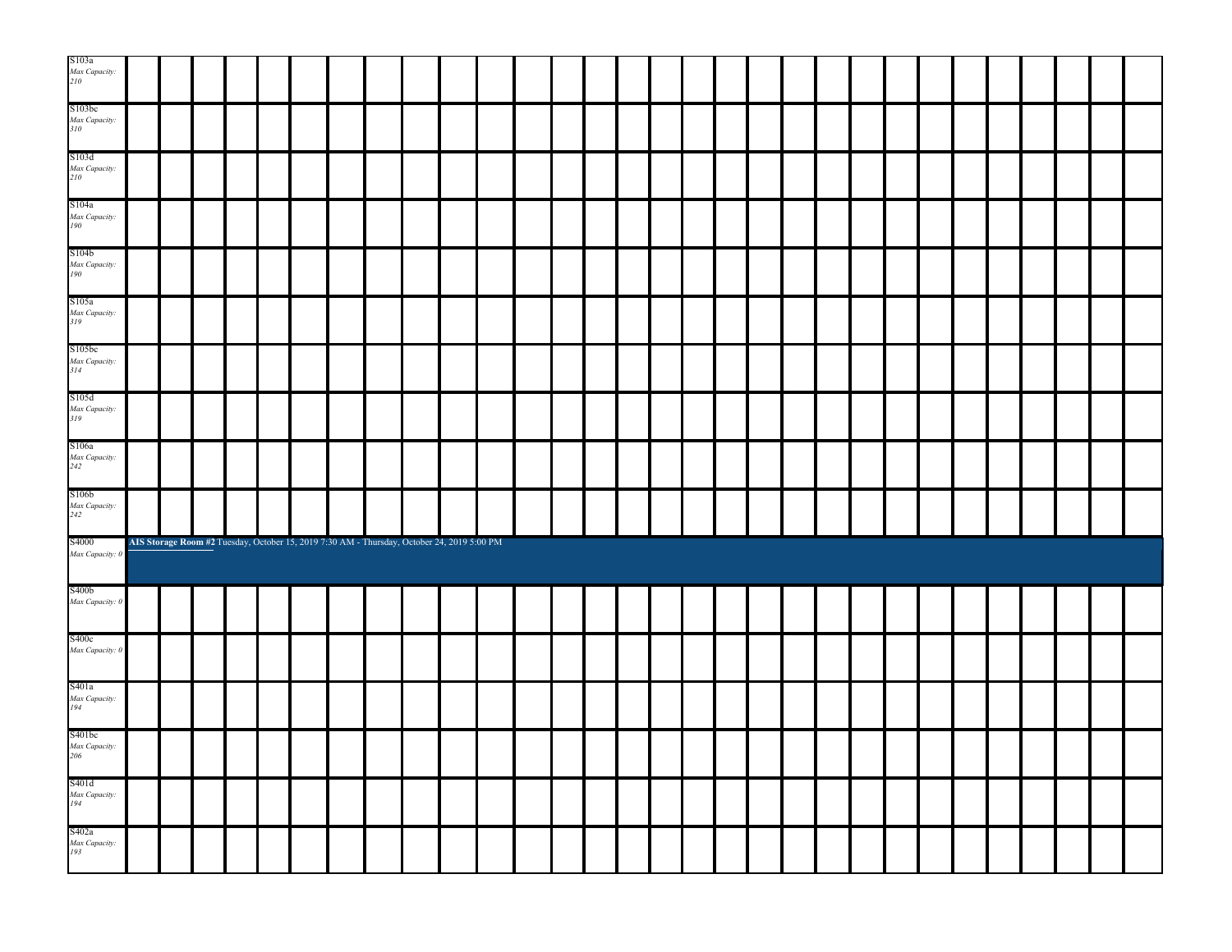| S103a<br>Max Capacity:<br>210                                          |  |  |  |                                                                                            |  |  |  |  |  |  |  |  |  |  |  |  |
|------------------------------------------------------------------------|--|--|--|--------------------------------------------------------------------------------------------|--|--|--|--|--|--|--|--|--|--|--|--|
| S103bc<br>Max Capacity:<br>310                                         |  |  |  |                                                                                            |  |  |  |  |  |  |  |  |  |  |  |  |
| S103d<br>Max Capacity:<br>210                                          |  |  |  |                                                                                            |  |  |  |  |  |  |  |  |  |  |  |  |
| S104a<br>Max Capacity:<br>190                                          |  |  |  |                                                                                            |  |  |  |  |  |  |  |  |  |  |  |  |
| S104b<br>Max Capacity:<br>190                                          |  |  |  |                                                                                            |  |  |  |  |  |  |  |  |  |  |  |  |
| S105a<br>Max Capacity:<br>319                                          |  |  |  |                                                                                            |  |  |  |  |  |  |  |  |  |  |  |  |
| S105bc<br>Max Capacity:<br>314                                         |  |  |  |                                                                                            |  |  |  |  |  |  |  |  |  |  |  |  |
| S105d<br>Max Capacity:<br>319                                          |  |  |  |                                                                                            |  |  |  |  |  |  |  |  |  |  |  |  |
| S106a<br>Max Capacity:<br>242                                          |  |  |  |                                                                                            |  |  |  |  |  |  |  |  |  |  |  |  |
| S106b<br>Max Capacity:<br>242                                          |  |  |  |                                                                                            |  |  |  |  |  |  |  |  |  |  |  |  |
| S4000<br>Max Capacity: 0                                               |  |  |  | AIS Storage Room #2 Tuesday, October 15, 2019 7:30 AM - Thursday, October 24, 2019 5:00 PM |  |  |  |  |  |  |  |  |  |  |  |  |
| $\ensuremath{\mathsf{S}}400\ensuremath{\mathsf{b}}$<br>Max Capacity: 0 |  |  |  |                                                                                            |  |  |  |  |  |  |  |  |  |  |  |  |
| S400c<br>Max Capacity: 0                                               |  |  |  |                                                                                            |  |  |  |  |  |  |  |  |  |  |  |  |
| S401a<br>Max Capacity:<br>194                                          |  |  |  |                                                                                            |  |  |  |  |  |  |  |  |  |  |  |  |
| S401bc<br>Max Capacity:<br>206                                         |  |  |  |                                                                                            |  |  |  |  |  |  |  |  |  |  |  |  |
| S401d<br>Max Capacity:<br>194                                          |  |  |  |                                                                                            |  |  |  |  |  |  |  |  |  |  |  |  |
| S402a<br>Max Capacity:<br>193                                          |  |  |  |                                                                                            |  |  |  |  |  |  |  |  |  |  |  |  |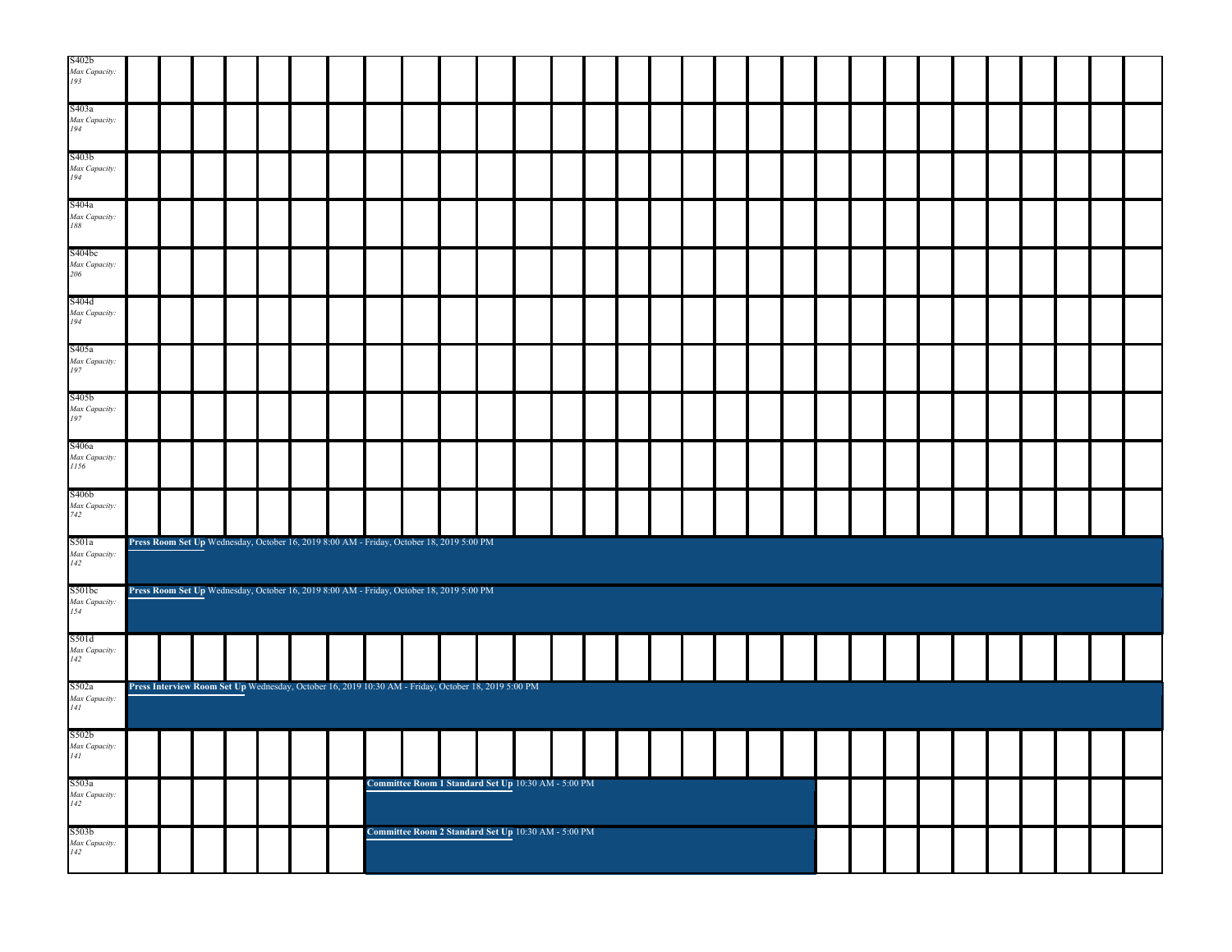| S402b<br>Max Capacity:<br>193  |  |  |  |                                                                                                     |                                                     |  |  |  |  |  |  |  |  |  |  |  |
|--------------------------------|--|--|--|-----------------------------------------------------------------------------------------------------|-----------------------------------------------------|--|--|--|--|--|--|--|--|--|--|--|
| S403a<br>Max Capacity:<br>194  |  |  |  |                                                                                                     |                                                     |  |  |  |  |  |  |  |  |  |  |  |
| S403b<br>Max Capacity:<br>194  |  |  |  |                                                                                                     |                                                     |  |  |  |  |  |  |  |  |  |  |  |
| S404a<br>Max Capacity:<br>188  |  |  |  |                                                                                                     |                                                     |  |  |  |  |  |  |  |  |  |  |  |
| S404bc<br>Max Capacity:<br>206 |  |  |  |                                                                                                     |                                                     |  |  |  |  |  |  |  |  |  |  |  |
| S404d<br>Max Capacity:<br>194  |  |  |  |                                                                                                     |                                                     |  |  |  |  |  |  |  |  |  |  |  |
| S405a<br>Max Capacity:<br>197  |  |  |  |                                                                                                     |                                                     |  |  |  |  |  |  |  |  |  |  |  |
| S405b<br>Max Capacity:<br>197  |  |  |  |                                                                                                     |                                                     |  |  |  |  |  |  |  |  |  |  |  |
| S406a<br>Max Capacity:<br>1156 |  |  |  |                                                                                                     |                                                     |  |  |  |  |  |  |  |  |  |  |  |
| S406b<br>Max Capacity:<br>742  |  |  |  |                                                                                                     |                                                     |  |  |  |  |  |  |  |  |  |  |  |
| S501a<br>Max Capacity:<br>142  |  |  |  | Press Room Set Up Wednesday, October 16, 2019 8:00 AM - Friday, October 18, 2019 5:00 PM            |                                                     |  |  |  |  |  |  |  |  |  |  |  |
| S501bc<br>Max Capacity:<br>154 |  |  |  | Press Room Set Up Wednesday, October 16, 2019 8:00 AM - Friday, October 18, 2019 5:00 PM            |                                                     |  |  |  |  |  |  |  |  |  |  |  |
| S501d<br>Max Capacity:<br>142  |  |  |  |                                                                                                     |                                                     |  |  |  |  |  |  |  |  |  |  |  |
| S502a<br>Max Capacity:<br>141  |  |  |  | Press Interview Room Set Up Wednesday, October 16, 2019 10:30 AM - Friday, October 18, 2019 5:00 PM |                                                     |  |  |  |  |  |  |  |  |  |  |  |
| S502b<br>Max Capacity:<br>141  |  |  |  |                                                                                                     |                                                     |  |  |  |  |  |  |  |  |  |  |  |
| S503a<br>Max Capacity:<br>142  |  |  |  |                                                                                                     | Committee Room 1 Standard Set Up 10:30 AM - 5:00 PM |  |  |  |  |  |  |  |  |  |  |  |
| S503b<br>Max Capacity:<br>142  |  |  |  |                                                                                                     | Committee Room 2 Standard Set Up 10:30 AM - 5:00 PM |  |  |  |  |  |  |  |  |  |  |  |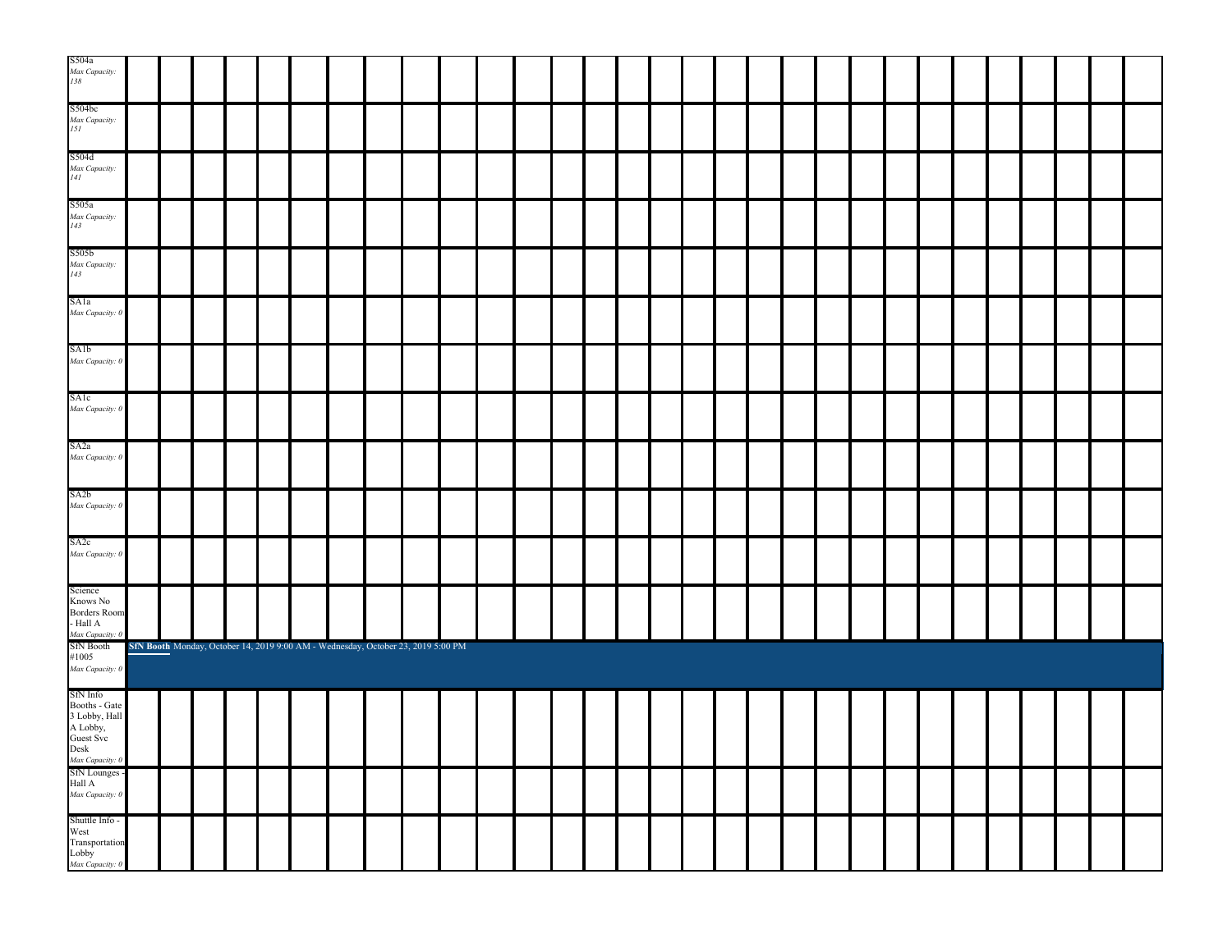| S504a<br>Max Capacity:<br>138                                               |  |  |  |                                                                                  |  |  |  |  |  |  |  |  |  |  |  |  |
|-----------------------------------------------------------------------------|--|--|--|----------------------------------------------------------------------------------|--|--|--|--|--|--|--|--|--|--|--|--|
| S504bc<br>Max Capacity:<br>151                                              |  |  |  |                                                                                  |  |  |  |  |  |  |  |  |  |  |  |  |
| S504d<br>Max Capacity:<br>141                                               |  |  |  |                                                                                  |  |  |  |  |  |  |  |  |  |  |  |  |
| S505a<br>Max Capacity:<br>143                                               |  |  |  |                                                                                  |  |  |  |  |  |  |  |  |  |  |  |  |
| S505b<br>Max Capacity:<br>143                                               |  |  |  |                                                                                  |  |  |  |  |  |  |  |  |  |  |  |  |
| SA1a<br>Max Capacity: 0                                                     |  |  |  |                                                                                  |  |  |  |  |  |  |  |  |  |  |  |  |
| SA1b<br>Max Capacity: 0                                                     |  |  |  |                                                                                  |  |  |  |  |  |  |  |  |  |  |  |  |
| SAlc<br>Max Capacity: 0                                                     |  |  |  |                                                                                  |  |  |  |  |  |  |  |  |  |  |  |  |
| SA <sub>2</sub> a<br>Max Capacity: 0                                        |  |  |  |                                                                                  |  |  |  |  |  |  |  |  |  |  |  |  |
| SA <sub>2</sub> b<br>Max Capacity: 0                                        |  |  |  |                                                                                  |  |  |  |  |  |  |  |  |  |  |  |  |
| SA2c<br>Max Capacity: 0                                                     |  |  |  |                                                                                  |  |  |  |  |  |  |  |  |  |  |  |  |
| Science<br>Knows No<br>Borders Room<br>- Hall ${\bf A}$                     |  |  |  |                                                                                  |  |  |  |  |  |  |  |  |  |  |  |  |
| - Hall A<br>Max Capacity: 0<br>SfN Booth<br>#1005<br>Max Capacity: 0        |  |  |  | SfN Booth Monday, October 14, 2019 9:00 AM - Wednesday, October 23, 2019 5:00 PM |  |  |  |  |  |  |  |  |  |  |  |  |
| SfN Info<br>Booths - Gate<br>3 Lobby, Hall<br>A Lobby,<br>Guest Svc<br>Desk |  |  |  |                                                                                  |  |  |  |  |  |  |  |  |  |  |  |  |
| Max Capacity: 0<br>SfN Lounges -<br>Hall A<br>Max Capacity: 0               |  |  |  |                                                                                  |  |  |  |  |  |  |  |  |  |  |  |  |
| Shuttle Info -<br>West<br>Transportation<br>Lobby<br><i>Max Capacity:</i> 0 |  |  |  |                                                                                  |  |  |  |  |  |  |  |  |  |  |  |  |